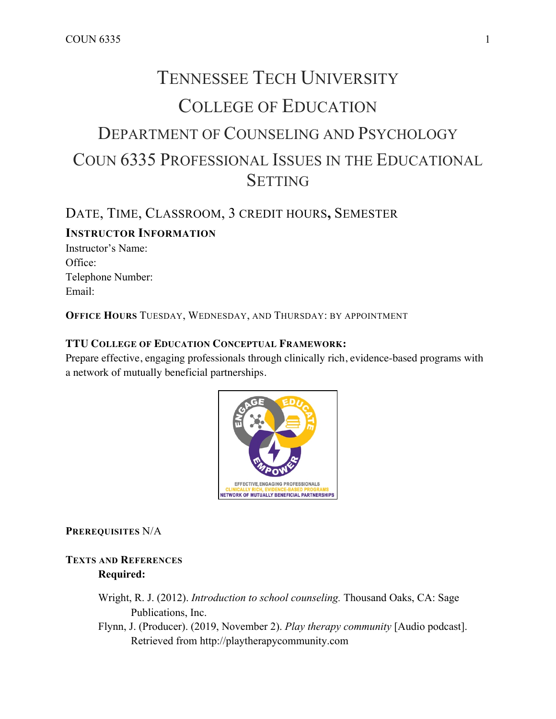# TENNESSEE TECH UNIVERSITY COLLEGE OF EDUCATION DEPARTMENT OF COUNSELING AND PSYCHOLOGY COUN 6335 PROFESSIONAL ISSUES IN THE EDUCATIONAL **SETTING**

# DATE, TIME, CLASSROOM, 3 CREDIT HOURS**,** SEMESTER **INSTRUCTOR INFORMATION**

Instructor's Name: Office<sup>-</sup> Telephone Number: Email:

**OFFICE HOURS** TUESDAY, WEDNESDAY, AND THURSDAY: BY APPOINTMENT

## **TTU COLLEGE OF EDUCATION CONCEPTUAL FRAMEWORK:**

Prepare effective, engaging professionals through clinically rich, evidence-based programs with a network of mutually beneficial partnerships.



**PREREQUISITES** N/A

## **TEXTS AND REFERENCES Required:**

- Wright, R. J. (2012). *Introduction to school counseling.* Thousand Oaks, CA: Sage Publications, Inc.
- Flynn, J. (Producer). (2019, November 2). *Play therapy community* [Audio podcast]. Retrieved from http://playtherapycommunity.com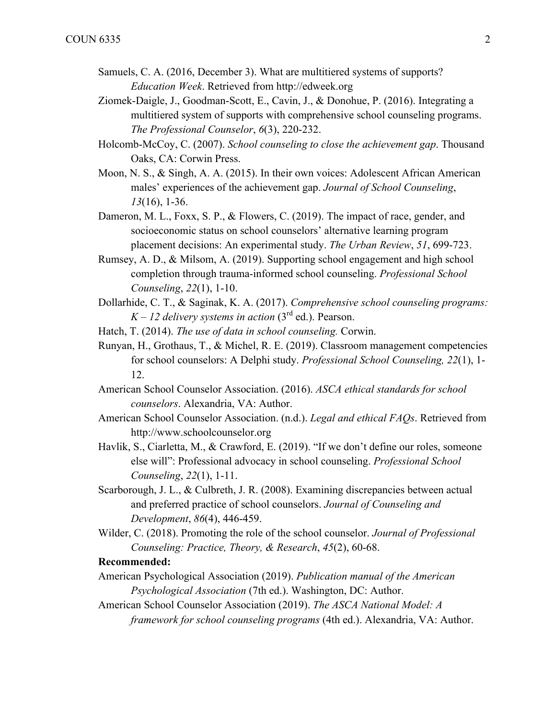- Samuels, C. A. (2016, December 3). What are multitiered systems of supports? *Education Week*. Retrieved from http://edweek.org
- Ziomek-Daigle, J., Goodman-Scott, E., Cavin, J., & Donohue, P. (2016). Integrating a multitiered system of supports with comprehensive school counseling programs. *The Professional Counselor*, *6*(3), 220-232.
- Holcomb-McCoy, C. (2007). *School counseling to close the achievement gap*. Thousand Oaks, CA: Corwin Press.
- Moon, N. S., & Singh, A. A. (2015). In their own voices: Adolescent African American males' experiences of the achievement gap. *Journal of School Counseling*, *13*(16), 1-36.
- Dameron, M. L., Foxx, S. P., & Flowers, C. (2019). The impact of race, gender, and socioeconomic status on school counselors' alternative learning program placement decisions: An experimental study. *The Urban Review*, *51*, 699-723.
- Rumsey, A. D., & Milsom, A. (2019). Supporting school engagement and high school completion through trauma-informed school counseling. *Professional School Counseling*, *22*(1), 1-10.
- Dollarhide, C. T., & Saginak, K. A. (2017). *Comprehensive school counseling programs:*   $K - 12$  *delivery systems in action* (3<sup>rd</sup> ed.). Pearson.
- Hatch, T. (2014). *The use of data in school counseling.* Corwin.
- Runyan, H., Grothaus, T., & Michel, R. E. (2019). Classroom management competencies for school counselors: A Delphi study. *Professional School Counseling, 22*(1), 1- 12.
- American School Counselor Association. (2016). *ASCA ethical standards for school counselors*. Alexandria, VA: Author.
- American School Counselor Association. (n.d.). *Legal and ethical FAQs*. Retrieved from http://www.schoolcounselor.org
- Havlik, S., Ciarletta, M., & Crawford, E. (2019). "If we don't define our roles, someone else will": Professional advocacy in school counseling. *Professional School Counseling*, *22*(1), 1-11.
- Scarborough, J. L., & Culbreth, J. R. (2008). Examining discrepancies between actual and preferred practice of school counselors. *Journal of Counseling and Development*, *86*(4), 446-459.
- Wilder, C. (2018). Promoting the role of the school counselor. *Journal of Professional Counseling: Practice, Theory, & Research*, *45*(2), 60-68.

#### **Recommended:**

- American Psychological Association (2019). *Publication manual of the American Psychological Association* (7th ed.). Washington, DC: Author.
- American School Counselor Association (2019). *The ASCA National Model: A framework for school counseling programs* (4th ed.). Alexandria, VA: Author.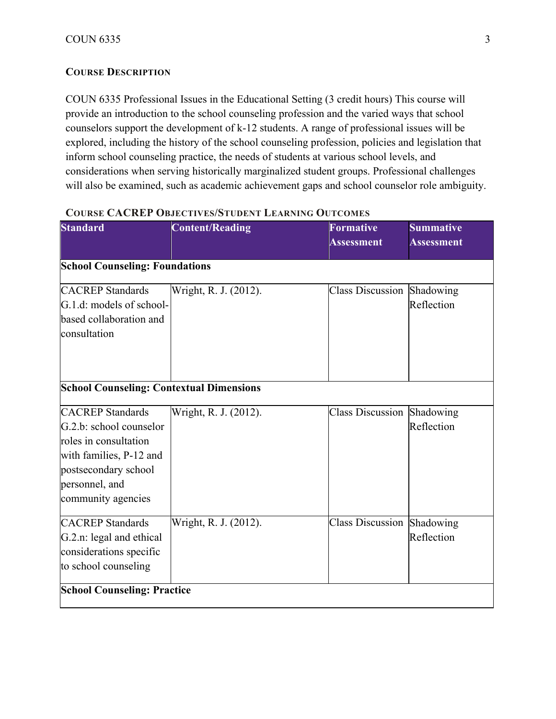## **COURSE DESCRIPTION**

COUN 6335 Professional Issues in the Educational Setting (3 credit hours) This course will provide an introduction to the school counseling profession and the varied ways that school counselors support the development of k-12 students. A range of professional issues will be explored, including the history of the school counseling profession, policies and legislation that inform school counseling practice, the needs of students at various school levels, and considerations when serving historically marginalized student groups. Professional challenges will also be examined, such as academic achievement gaps and school counselor role ambiguity.

| <b>Standard</b>                                                                                                                                                        | <b>Content/Reading</b> | <b>Formative</b><br><b>Assessment</b> | <b>Summative</b><br><b>Assessment</b> |
|------------------------------------------------------------------------------------------------------------------------------------------------------------------------|------------------------|---------------------------------------|---------------------------------------|
| <b>School Counseling: Foundations</b>                                                                                                                                  |                        |                                       |                                       |
| <b>CACREP</b> Standards<br>G.1.d: models of school-<br>based collaboration and<br>consultation                                                                         | Wright, R. J. (2012).  | <b>Class Discussion</b>               | Shadowing<br>Reflection               |
| <b>School Counseling: Contextual Dimensions</b>                                                                                                                        |                        |                                       |                                       |
| <b>CACREP</b> Standards<br>G.2.b: school counselor<br>roles in consultation<br>with families, P-12 and<br>postsecondary school<br>personnel, and<br>community agencies | Wright, R. J. (2012).  | <b>Class Discussion</b>               | Shadowing<br>Reflection               |
| <b>CACREP</b> Standards<br>G.2.n: legal and ethical<br>considerations specific<br>to school counseling                                                                 | Wright, R. J. (2012).  | Class Discussion Shadowing            | Reflection                            |
| <b>School Counseling: Practice</b>                                                                                                                                     |                        |                                       |                                       |

#### **COURSE CACREP OBJECTIVES/STUDENT LEARNING OUTCOMES**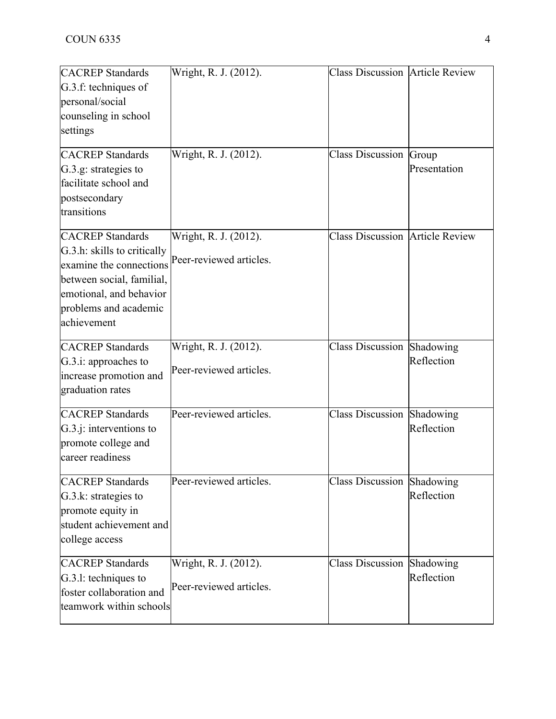| <b>CACREP</b> Standards<br>G.3.f: techniques of<br>personal/social<br>counseling in school<br>settings<br><b>CACREP</b> Standards<br>G.3.g: strategies to<br>facilitate school and<br>postsecondary<br>transitions | Wright, R. J. (2012).<br>Wright, R. J. (2012).   | <b>Class Discussion Article Review</b><br><b>Class Discussion Group</b> | Presentation            |
|--------------------------------------------------------------------------------------------------------------------------------------------------------------------------------------------------------------------|--------------------------------------------------|-------------------------------------------------------------------------|-------------------------|
| <b>CACREP</b> Standards<br>G.3.h: skills to critically<br>examine the connections<br>between social, familial,<br>emotional, and behavior<br>problems and academic<br>achievement                                  | Wright, R. J. (2012).<br>Peer-reviewed articles. | <b>Class Discussion Article Review</b>                                  |                         |
| <b>CACREP</b> Standards<br>G.3.i: approaches to<br>increase promotion and<br>graduation rates                                                                                                                      | Wright, R. J. (2012).<br>Peer-reviewed articles. | Class Discussion Shadowing                                              | Reflection              |
| <b>CACREP</b> Standards<br>$G.3.$ j: interventions to<br>promote college and<br>career readiness                                                                                                                   | Peer-reviewed articles.                          | Class Discussion                                                        | Shadowing<br>Reflection |
| <b>CACREP</b> Standards<br>G.3.k: strategies to<br>promote equity in<br>student achievement and<br>college access                                                                                                  | Peer-reviewed articles.                          | Class Discussion Shadowing                                              | Reflection              |
| <b>CACREP</b> Standards<br>G.3.1: techniques to<br>foster collaboration and<br>teamwork within schools                                                                                                             | Wright, R. J. (2012).<br>Peer-reviewed articles. | <b>Class Discussion</b>                                                 | Shadowing<br>Reflection |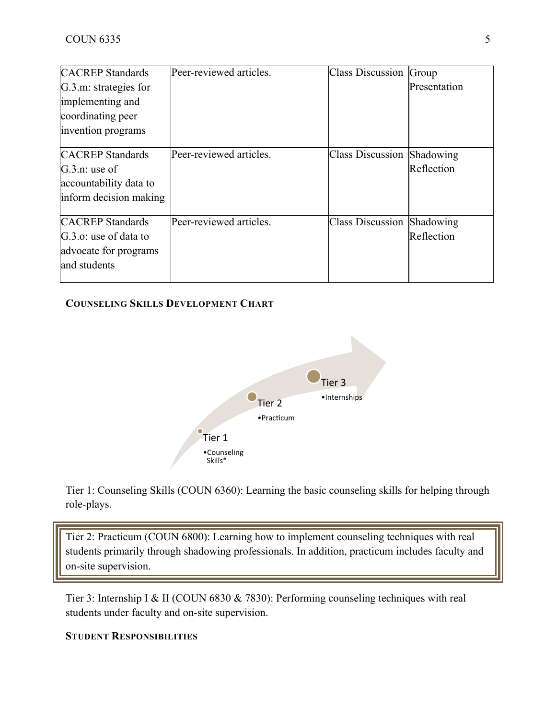| <b>CACREP</b> Standards | Peer-reviewed articles. | <b>Class Discussion Group</b>     |              |
|-------------------------|-------------------------|-----------------------------------|--------------|
| G.3.m: strategies for   |                         |                                   | Presentation |
| implementing and        |                         |                                   |              |
| coordinating peer       |                         |                                   |              |
| invention programs      |                         |                                   |              |
| <b>CACREP</b> Standards | Peer-reviewed articles. | <b>Class Discussion Shadowing</b> |              |
| $G.3.n:$ use of         |                         |                                   | Reflection   |
| accountability data to  |                         |                                   |              |
| inform decision making  |                         |                                   |              |
| <b>CACREP</b> Standards | Peer-reviewed articles. | <b>Class Discussion</b>           | Shadowing    |
| G.3.o: use of data to   |                         |                                   | Reflection   |
| advocate for programs   |                         |                                   |              |
| and students            |                         |                                   |              |

## **COUNSELING SKILLS DEVELOPMENT CHART**



Tier 1: Counseling Skills (COUN 6360): Learning the basic counseling skills for helping through role-plays.

Tier 2: Practicum (COUN 6800): Learning how to implement counseling techniques with real students primarily through shadowing professionals. In addition, practicum includes faculty and on-site supervision.

Tier 3: Internship I & II (COUN 6830 & 7830): Performing counseling techniques with real students under faculty and on-site supervision.

## **STUDENT RESPONSIBILITIES**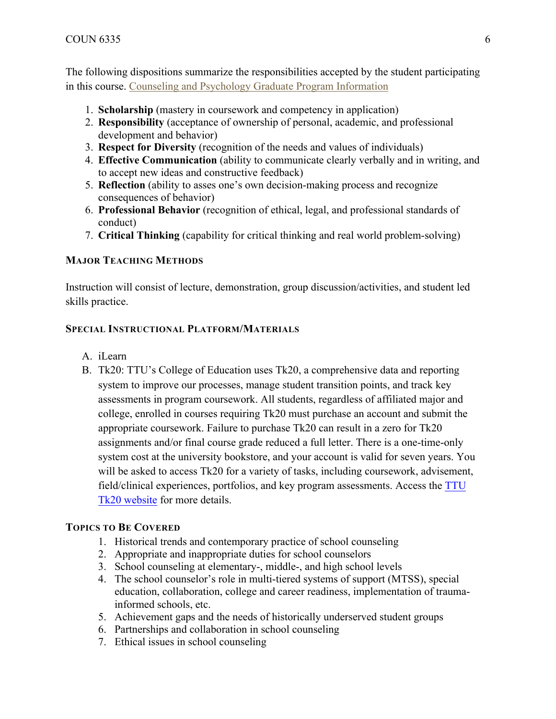The following dispositions summarize the responsibilities accepted by the student participating in this course. Counseling and Psychology Graduate Program Information

- 1. **Scholarship** (mastery in coursework and competency in application)
- 2. **Responsibility** (acceptance of ownership of personal, academic, and professional development and behavior)
- 3. **Respect for Diversity** (recognition of the needs and values of individuals)
- 4. **Effective Communication** (ability to communicate clearly verbally and in writing, and to accept new ideas and constructive feedback)
- 5. **Reflection** (ability to asses one's own decision-making process and recognize consequences of behavior)
- 6. **Professional Behavior** (recognition of ethical, legal, and professional standards of conduct)
- 7. **Critical Thinking** (capability for critical thinking and real world problem-solving)

## **MAJOR TEACHING METHODS**

Instruction will consist of lecture, demonstration, group discussion/activities, and student led skills practice.

## **SPECIAL INSTRUCTIONAL PLATFORM/MATERIALS**

- A. iLearn
- B. Tk20: TTU's College of Education uses Tk20, a comprehensive data and reporting system to improve our processes, manage student transition points, and track key assessments in program coursework. All students, regardless of affiliated major and college, enrolled in courses requiring Tk20 must purchase an account and submit the appropriate coursework. Failure to purchase Tk20 can result in a zero for Tk20 assignments and/or final course grade reduced a full letter. There is a one-time-only system cost at the university bookstore, and your account is valid for seven years. You will be asked to access Tk20 for a variety of tasks, including coursework, advisement, field/clinical experiences, portfolios, and key program assessments. Access the TTU Tk20 website for more details.

## **TOPICS TO BE COVERED**

- 1. Historical trends and contemporary practice of school counseling
- 2. Appropriate and inappropriate duties for school counselors
- 3. School counseling at elementary-, middle-, and high school levels
- 4. The school counselor's role in multi-tiered systems of support (MTSS), special education, collaboration, college and career readiness, implementation of traumainformed schools, etc.
- 5. Achievement gaps and the needs of historically underserved student groups
- 6. Partnerships and collaboration in school counseling
- 7. Ethical issues in school counseling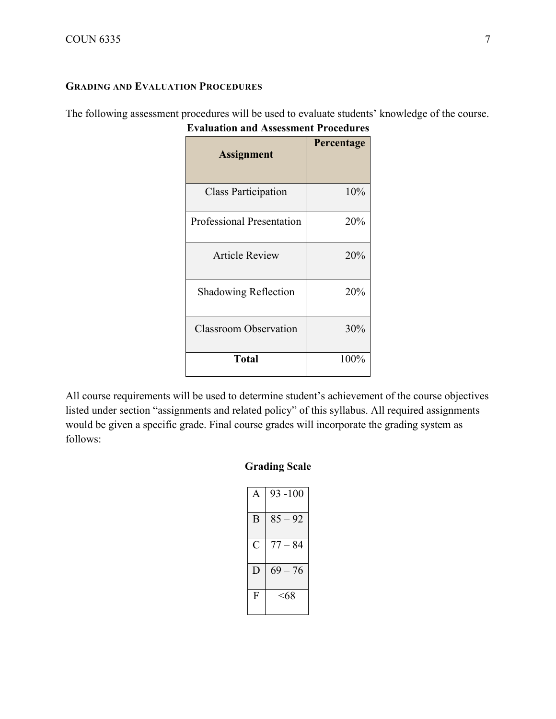## **GRADING AND EVALUATION PROCEDURES**

The following assessment procedures will be used to evaluate students' knowledge of the course. **Evaluation and Assessment Procedures**

| <b>Assignment</b>                | Percentage |
|----------------------------------|------------|
| <b>Class Participation</b>       | 10%        |
| <b>Professional Presentation</b> | 20%        |
| <b>Article Review</b>            | 20%        |
| <b>Shadowing Reflection</b>      | 20%        |
| <b>Classroom Observation</b>     | 30%        |
| <b>Total</b>                     | 100%       |

All course requirements will be used to determine student's achievement of the course objectives listed under section "assignments and related policy" of this syllabus. All required assignments would be given a specific grade. Final course grades will incorporate the grading system as follows:

## **Grading Scale**

| A | $93 - 100$ |
|---|------------|
| B | $85 - 92$  |
| C | $77 - 84$  |
| Ð | $69 - 76$  |
| F | <68        |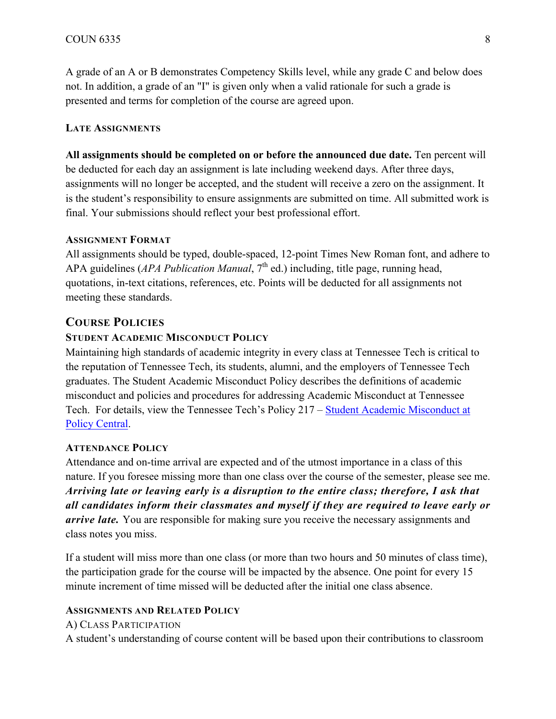A grade of an A or B demonstrates Competency Skills level, while any grade C and below does not. In addition, a grade of an "I" is given only when a valid rationale for such a grade is presented and terms for completion of the course are agreed upon.

#### **LATE ASSIGNMENTS**

**All assignments should be completed on or before the announced due date.** Ten percent will be deducted for each day an assignment is late including weekend days. After three days, assignments will no longer be accepted, and the student will receive a zero on the assignment. It is the student's responsibility to ensure assignments are submitted on time. All submitted work is final. Your submissions should reflect your best professional effort.

#### **ASSIGNMENT FORMAT**

All assignments should be typed, double-spaced, 12-point Times New Roman font, and adhere to APA guidelines (*APA Publication Manual*, 7<sup>th</sup> ed.) including, title page, running head, quotations, in-text citations, references, etc. Points will be deducted for all assignments not meeting these standards.

## **COURSE POLICIES**

#### **STUDENT ACADEMIC MISCONDUCT POLICY**

Maintaining high standards of academic integrity in every class at Tennessee Tech is critical to the reputation of Tennessee Tech, its students, alumni, and the employers of Tennessee Tech graduates. The Student Academic Misconduct Policy describes the definitions of academic misconduct and policies and procedures for addressing Academic Misconduct at Tennessee Tech. For details, view the Tennessee Tech's Policy 217 – Student Academic Misconduct at Policy Central.

#### **ATTENDANCE POLICY**

Attendance and on-time arrival are expected and of the utmost importance in a class of this nature. If you foresee missing more than one class over the course of the semester, please see me. *Arriving late or leaving early is a disruption to the entire class; therefore, I ask that all candidates inform their classmates and myself if they are required to leave early or arrive late.* You are responsible for making sure you receive the necessary assignments and class notes you miss.

If a student will miss more than one class (or more than two hours and 50 minutes of class time), the participation grade for the course will be impacted by the absence. One point for every 15 minute increment of time missed will be deducted after the initial one class absence.

#### **ASSIGNMENTS AND RELATED POLICY**

A) CLASS PARTICIPATION A student's understanding of course content will be based upon their contributions to classroom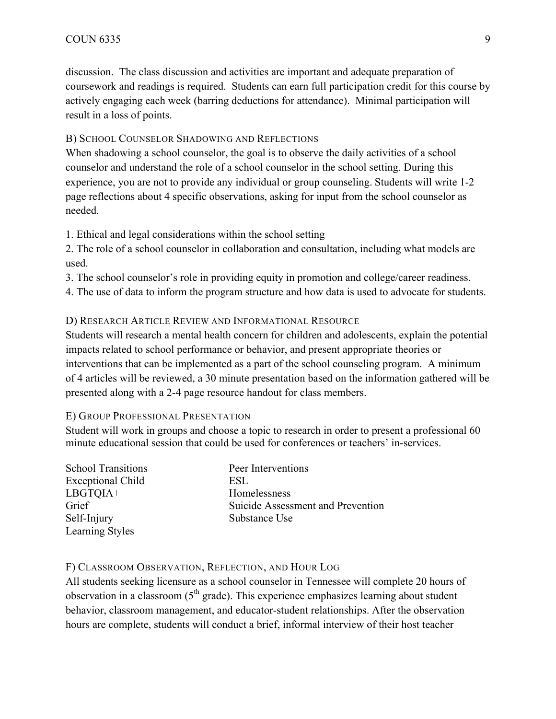discussion. The class discussion and activities are important and adequate preparation of coursework and readings is required. Students can earn full participation credit for this course by actively engaging each week (barring deductions for attendance). Minimal participation will result in a loss of points.

#### B) SCHOOL COUNSELOR SHADOWING AND REFLECTIONS

When shadowing a school counselor, the goal is to observe the daily activities of a school counselor and understand the role of a school counselor in the school setting. During this experience, you are not to provide any individual or group counseling. Students will write 1-2 page reflections about 4 specific observations, asking for input from the school counselor as needed.

1. Ethical and legal considerations within the school setting

2. The role of a school counselor in collaboration and consultation, including what models are used.

3. The school counselor's role in providing equity in promotion and college/career readiness.

4. The use of data to inform the program structure and how data is used to advocate for students.

#### D) RESEARCH ARTICLE REVIEW AND INFORMATIONAL RESOURCE

Students will research a mental health concern for children and adolescents, explain the potential impacts related to school performance or behavior, and present appropriate theories or interventions that can be implemented as a part of the school counseling program. A minimum of 4 articles will be reviewed, a 30 minute presentation based on the information gathered will be presented along with a 2-4 page resource handout for class members.

#### E) GROUP PROFESSIONAL PRESENTATION

Student will work in groups and choose a topic to research in order to present a professional 60 minute educational session that could be used for conferences or teachers' in-services.

| <b>School Transitions</b> | Peer Interventions                |
|---------------------------|-----------------------------------|
| <b>Exceptional Child</b>  | ESL                               |
| LBGTQIA+                  | Homelessness                      |
| Grief                     | Suicide Assessment and Prevention |
| Self-Injury               | Substance Use                     |
| Learning Styles           |                                   |

#### F) CLASSROOM OBSERVATION, REFLECTION, AND HOUR LOG

All students seeking licensure as a school counselor in Tennessee will complete 20 hours of observation in a classroom  $(5<sup>th</sup> grade)$ . This experience emphasizes learning about student behavior, classroom management, and educator-student relationships. After the observation hours are complete, students will conduct a brief, informal interview of their host teacher